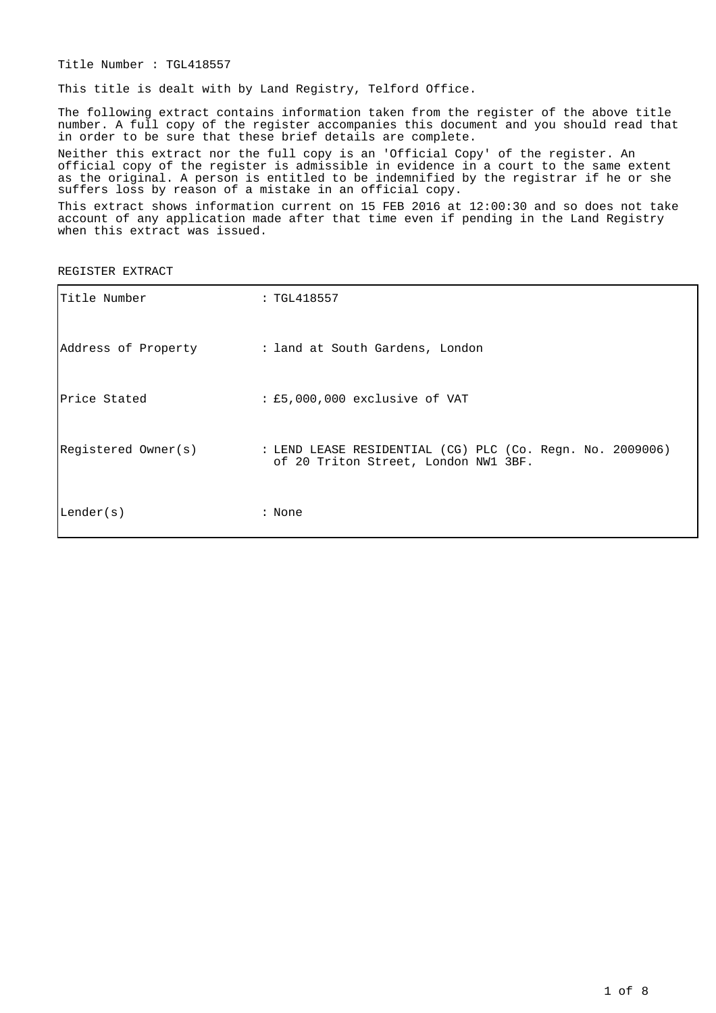Title Number : TGL418557

This title is dealt with by Land Registry, Telford Office.

The following extract contains information taken from the register of the above title number. A full copy of the register accompanies this document and you should read that in order to be sure that these brief details are complete.

Neither this extract nor the full copy is an 'Official Copy' of the register. An official copy of the register is admissible in evidence in a court to the same extent as the original. A person is entitled to be indemnified by the registrar if he or she suffers loss by reason of a mistake in an official copy.

This extract shows information current on 15 FEB 2016 at 12:00:30 and so does not take account of any application made after that time even if pending in the Land Registry when this extract was issued.

REGISTER EXTRACT

| Title Number        | : TGL418557                                                                                       |
|---------------------|---------------------------------------------------------------------------------------------------|
| Address of Property | : land at South Gardens, London                                                                   |
| Price Stated        | : £5,000,000 exclusive of VAT                                                                     |
| Registered Owner(s) | : LEND LEASE RESIDENTIAL (CG) PLC (Co. Reqn. No. 2009006)<br>of 20 Triton Street, London NW1 3BF. |
| Lender(s)           | : None                                                                                            |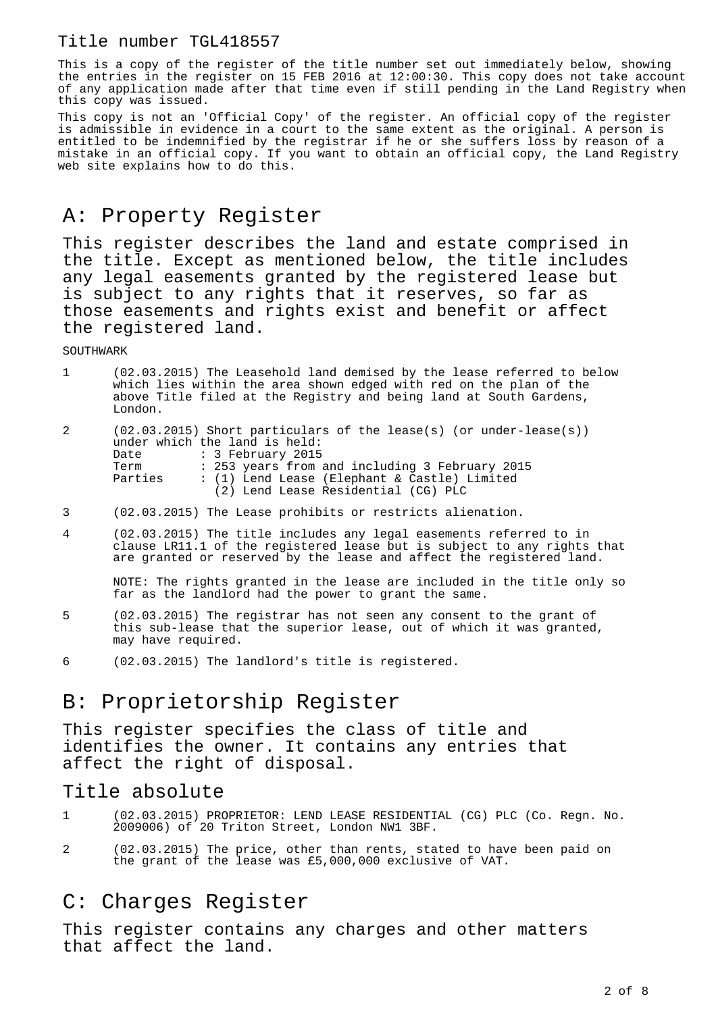### Title number TGL418557

This is a copy of the register of the title number set out immediately below, showing the entries in the register on 15 FEB 2016 at 12:00:30. This copy does not take account of any application made after that time even if still pending in the Land Registry when this copy was issued.

This copy is not an 'Official Copy' of the register. An official copy of the register is admissible in evidence in a court to the same extent as the original. A person is entitled to be indemnified by the registrar if he or she suffers loss by reason of a mistake in an official copy. If you want to obtain an official copy, the Land Registry web site explains how to do this.

# A: Property Register

This register describes the land and estate comprised in the title. Except as mentioned below, the title includes any legal easements granted by the registered lease but is subject to any rights that it reserves, so far as those easements and rights exist and benefit or affect the registered land.

**SOUTHWARK** 

|   | (02.03.2015) The Leasehold land demised by the lease referred to below<br>which lies within the area shown edged with red on the plan of the<br>above Title filed at the Registry and being land at South Gardens,<br>London. |
|---|-------------------------------------------------------------------------------------------------------------------------------------------------------------------------------------------------------------------------------|
| 2 | $(02.03.2015)$ Short particulars of the lease(s) (or under-lease(s))<br>under which the land is held:<br>Date : 3 February 2015                                                                                               |

| Term    | : 253 years from and including 3 February 2015 |  |
|---------|------------------------------------------------|--|
| Parties | : (1) Lend Lease (Elephant & Castle) Limited   |  |
|         | (2) Lend Lease Residential (CG) PLC            |  |

- 3 (02.03.2015) The Lease prohibits or restricts alienation.
- 4 (02.03.2015) The title includes any legal easements referred to in clause LR11.1 of the registered lease but is subject to any rights that are granted or reserved by the lease and affect the registered land.

NOTE: The rights granted in the lease are included in the title only so far as the landlord had the power to grant the same.

- 5 (02.03.2015) The registrar has not seen any consent to the grant of this sub-lease that the superior lease, out of which it was granted, may have required.
- 6 (02.03.2015) The landlord's title is registered.

# B: Proprietorship Register

This register specifies the class of title and identifies the owner. It contains any entries that affect the right of disposal.

### Title absolute

- 1 (02.03.2015) PROPRIETOR: LEND LEASE RESIDENTIAL (CG) PLC (Co. Regn. No. 2009006) of 20 Triton Street, London NW1 3BF.
- 2 (02.03.2015) The price, other than rents, stated to have been paid on the grant of the lease was £5,000,000 exclusive of VAT.

# C: Charges Register

This register contains any charges and other matters that affect the land.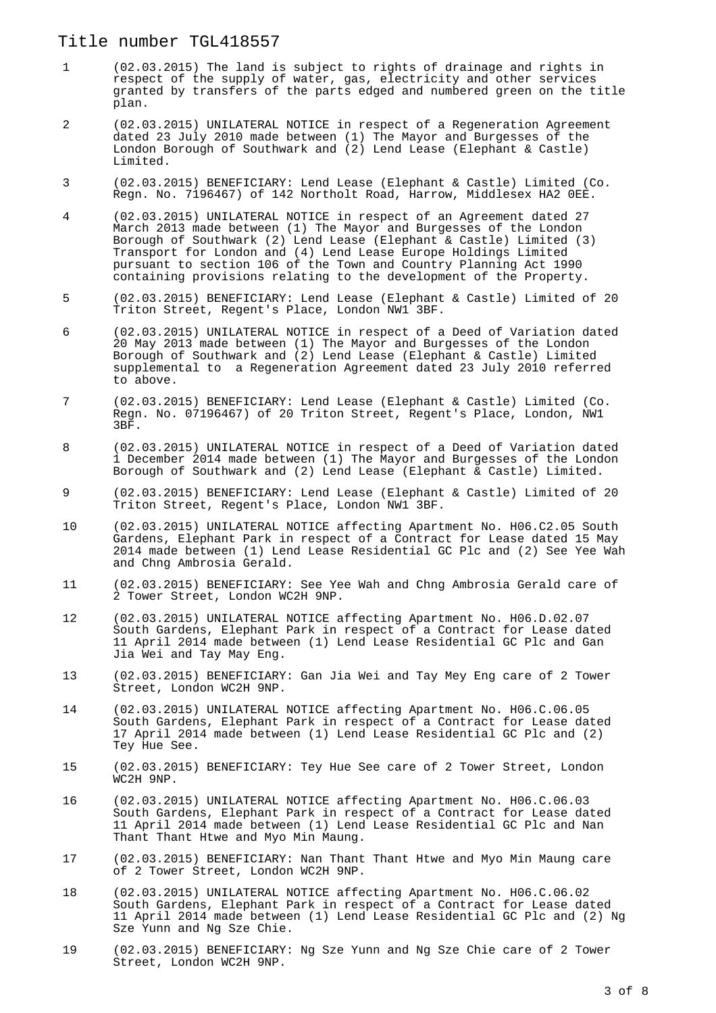#### Title number TGL418557

- 1 (02.03.2015) The land is subject to rights of drainage and rights in respect of the supply of water, gas, electricity and other services granted by transfers of the parts edged and numbered green on the title plan.
- 2 (02.03.2015) UNILATERAL NOTICE in respect of a Regeneration Agreement dated 23 July 2010 made between (1) The Mayor and Burgesses of the London Borough of Southwark and (2) Lend Lease (Elephant & Castle) Limited.
- 3 (02.03.2015) BENEFICIARY: Lend Lease (Elephant & Castle) Limited (Co. Regn. No. 7196467) of 142 Northolt Road, Harrow, Middlesex HA2 0EE.
- 4 (02.03.2015) UNILATERAL NOTICE in respect of an Agreement dated 27 March 2013 made between (1) The Mayor and Burgesses of the London Borough of Southwark (2) Lend Lease (Elephant & Castle) Limited (3) Transport for London and (4) Lend Lease Europe Holdings Limited pursuant to section 106 of the Town and Country Planning Act 1990 containing provisions relating to the development of the Property.
- 5 (02.03.2015) BENEFICIARY: Lend Lease (Elephant & Castle) Limited of 20 Triton Street, Regent's Place, London NW1 3BF.
- 6 (02.03.2015) UNILATERAL NOTICE in respect of a Deed of Variation dated 20 May 2013 made between (1) The Mayor and Burgesses of the London Borough of Southwark and (2) Lend Lease (Elephant & Castle) Limited supplemental to a Regeneration Agreement dated 23 July 2010 referred to above.
- 7 (02.03.2015) BENEFICIARY: Lend Lease (Elephant & Castle) Limited (Co. Regn. No. 07196467) of 20 Triton Street, Regent's Place, London, NW1 3BF.
- 8 (02.03.2015) UNILATERAL NOTICE in respect of a Deed of Variation dated 1 December 2014 made between (1) The Mayor and Burgesses of the London Borough of Southwark and (2) Lend Lease (Elephant & Castle) Limited.
- 9 (02.03.2015) BENEFICIARY: Lend Lease (Elephant & Castle) Limited of 20 Triton Street, Regent's Place, London NW1 3BF.
- 10 (02.03.2015) UNILATERAL NOTICE affecting Apartment No. H06.C2.05 South Gardens, Elephant Park in respect of a Contract for Lease dated 15 May 2014 made between (1) Lend Lease Residential GC Plc and (2) See Yee Wah and Chng Ambrosia Gerald.
- 11 (02.03.2015) BENEFICIARY: See Yee Wah and Chng Ambrosia Gerald care of 2 Tower Street, London WC2H 9NP.
- 12 (02.03.2015) UNILATERAL NOTICE affecting Apartment No. H06.D.02.07 South Gardens, Elephant Park in respect of a Contract for Lease dated 11 April 2014 made between (1) Lend Lease Residential GC Plc and Gan Jia Wei and Tay May Eng.
- 13 (02.03.2015) BENEFICIARY: Gan Jia Wei and Tay Mey Eng care of 2 Tower Street, London WC2H 9NP.
- 14 (02.03.2015) UNILATERAL NOTICE affecting Apartment No. H06.C.06.05 South Gardens, Elephant Park in respect of a Contract for Lease dated 17 April 2014 made between (1) Lend Lease Residential GC Plc and (2) Tey Hue See.
- 15 (02.03.2015) BENEFICIARY: Tey Hue See care of 2 Tower Street, London WC2H 9NP.
- 16 (02.03.2015) UNILATERAL NOTICE affecting Apartment No. H06.C.06.03 South Gardens, Elephant Park in respect of a Contract for Lease dated 11 April 2014 made between (1) Lend Lease Residential GC Plc and Nan Thant Thant Htwe and Myo Min Maung.
- 17 (02.03.2015) BENEFICIARY: Nan Thant Thant Htwe and Myo Min Maung care of 2 Tower Street, London WC2H 9NP.
- 18 (02.03.2015) UNILATERAL NOTICE affecting Apartment No. H06.C.06.02 South Gardens, Elephant Park in respect of a Contract for Lease dated 11 April 2014 made between (1) Lend Lease Residential GC Plc and (2) Ng Sze Yunn and Ng Sze Chie.
- 19 (02.03.2015) BENEFICIARY: Ng Sze Yunn and Ng Sze Chie care of 2 Tower Street, London WC2H 9NP.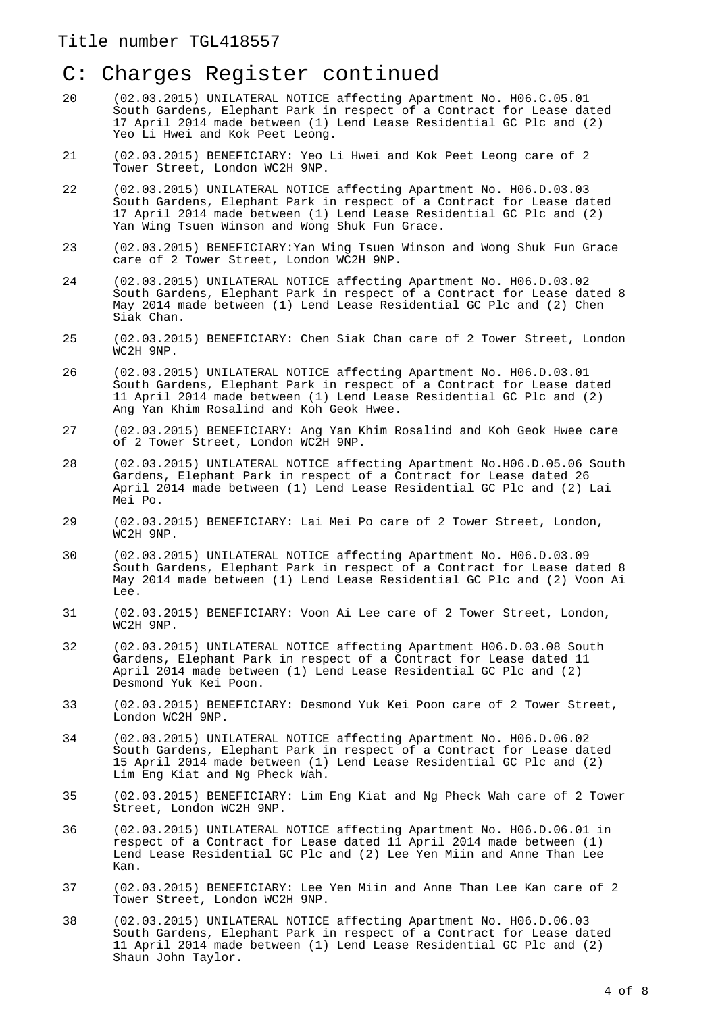- 20 (02.03.2015) UNILATERAL NOTICE affecting Apartment No. H06.C.05.01 South Gardens, Elephant Park in respect of a Contract for Lease dated 17 April 2014 made between (1) Lend Lease Residential GC Plc and (2) Yeo Li Hwei and Kok Peet Leong.
- 21 (02.03.2015) BENEFICIARY: Yeo Li Hwei and Kok Peet Leong care of 2 Tower Street, London WC2H 9NP.
- 22 (02.03.2015) UNILATERAL NOTICE affecting Apartment No. H06.D.03.03 South Gardens, Elephant Park in respect of a Contract for Lease dated 17 April 2014 made between (1) Lend Lease Residential GC Plc and (2) Yan Wing Tsuen Winson and Wong Shuk Fun Grace.
- 23 (02.03.2015) BENEFICIARY:Yan Wing Tsuen Winson and Wong Shuk Fun Grace care of 2 Tower Street, London WC2H 9NP.
- 24 (02.03.2015) UNILATERAL NOTICE affecting Apartment No. H06.D.03.02 South Gardens, Elephant Park in respect of a Contract for Lease dated 8 May 2014 made between (1) Lend Lease Residential GC Plc and (2) Chen Siak Chan.
- 25 (02.03.2015) BENEFICIARY: Chen Siak Chan care of 2 Tower Street, London WC2H 9NP.
- 26 (02.03.2015) UNILATERAL NOTICE affecting Apartment No. H06.D.03.01 South Gardens, Elephant Park in respect of a Contract for Lease dated 11 April 2014 made between (1) Lend Lease Residential GC Plc and (2) Ang Yan Khim Rosalind and Koh Geok Hwee.
- 27 (02.03.2015) BENEFICIARY: Ang Yan Khim Rosalind and Koh Geok Hwee care of 2 Tower Street, London WC2H 9NP.
- 28 (02.03.2015) UNILATERAL NOTICE affecting Apartment No.H06.D.05.06 South Gardens, Elephant Park in respect of a Contract for Lease dated 26 April 2014 made between (1) Lend Lease Residential GC Plc and (2) Lai Mei Po.
- 29 (02.03.2015) BENEFICIARY: Lai Mei Po care of 2 Tower Street, London, WC2H 9NP.
- 30 (02.03.2015) UNILATERAL NOTICE affecting Apartment No. H06.D.03.09 South Gardens, Elephant Park in respect of a Contract for Lease dated 8 May 2014 made between (1) Lend Lease Residential GC Plc and (2) Voon Ai Lee.
- 31 (02.03.2015) BENEFICIARY: Voon Ai Lee care of 2 Tower Street, London, WC2H 9NP.
- 32 (02.03.2015) UNILATERAL NOTICE affecting Apartment H06.D.03.08 South Gardens, Elephant Park in respect of a Contract for Lease dated 11 April 2014 made between (1) Lend Lease Residential GC Plc and (2) Desmond Yuk Kei Poon.
- 33 (02.03.2015) BENEFICIARY: Desmond Yuk Kei Poon care of 2 Tower Street, London WC2H 9NP.
- 34 (02.03.2015) UNILATERAL NOTICE affecting Apartment No. H06.D.06.02 South Gardens, Elephant Park in respect of a Contract for Lease dated 15 April 2014 made between (1) Lend Lease Residential GC Plc and (2) Lim Eng Kiat and Ng Pheck Wah.
- 35 (02.03.2015) BENEFICIARY: Lim Eng Kiat and Ng Pheck Wah care of 2 Tower Street, London WC2H 9NP.
- 36 (02.03.2015) UNILATERAL NOTICE affecting Apartment No. H06.D.06.01 in respect of a Contract for Lease dated 11 April 2014 made between (1) Lend Lease Residential GC Plc and (2) Lee Yen Miin and Anne Than Lee Kan.
- 37 (02.03.2015) BENEFICIARY: Lee Yen Miin and Anne Than Lee Kan care of 2 Tower Street, London WC2H 9NP.
- 38 (02.03.2015) UNILATERAL NOTICE affecting Apartment No. H06.D.06.03 South Gardens, Elephant Park in respect of a Contract for Lease dated 11 April 2014 made between (1) Lend Lease Residential GC Plc and (2) Shaun John Taylor.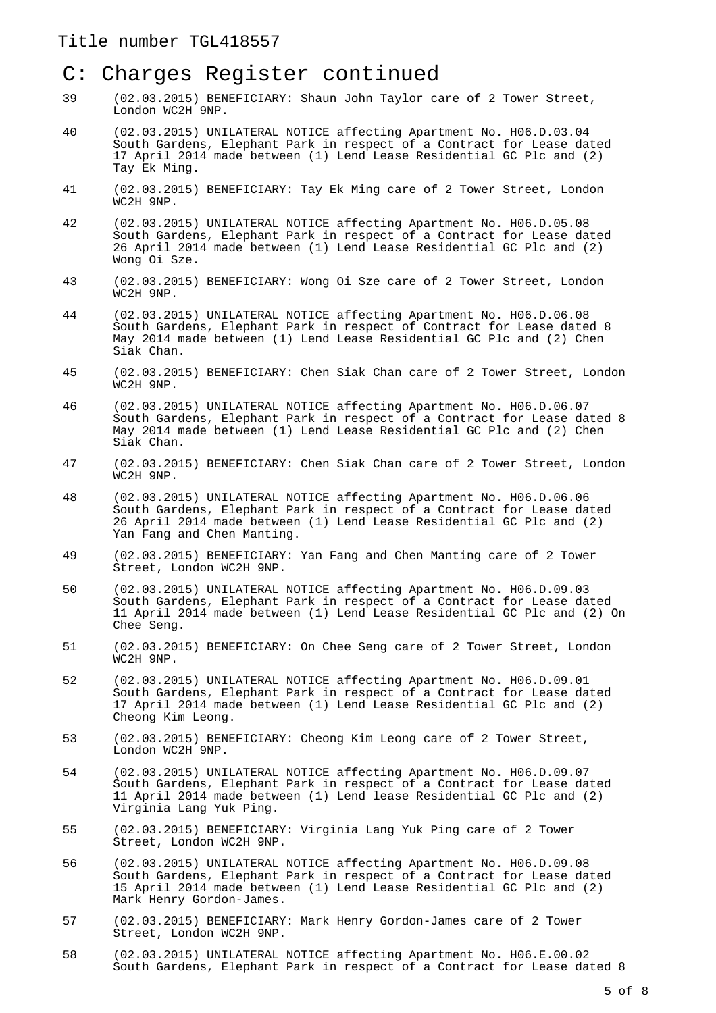#### Title number TGL418557

# C: Charges Register continued

- 39 (02.03.2015) BENEFICIARY: Shaun John Taylor care of 2 Tower Street, London WC2H 9NP.
- 40 (02.03.2015) UNILATERAL NOTICE affecting Apartment No. H06.D.03.04 South Gardens, Elephant Park in respect of a Contract for Lease dated 17 April 2014 made between (1) Lend Lease Residential GC Plc and (2) Tay Ek Ming.
- 41 (02.03.2015) BENEFICIARY: Tay Ek Ming care of 2 Tower Street, London WC2H 9NP.
- 42 (02.03.2015) UNILATERAL NOTICE affecting Apartment No. H06.D.05.08 South Gardens, Elephant Park in respect of a Contract for Lease dated 26 April 2014 made between (1) Lend Lease Residential GC Plc and (2) Wong Oi Sze.
- 43 (02.03.2015) BENEFICIARY: Wong Oi Sze care of 2 Tower Street, London WC2H 9NP.
- 44 (02.03.2015) UNILATERAL NOTICE affecting Apartment No. H06.D.06.08 South Gardens, Elephant Park in respect of Contract for Lease dated 8 May 2014 made between (1) Lend Lease Residential GC Plc and (2) Chen Siak Chan.
- 45 (02.03.2015) BENEFICIARY: Chen Siak Chan care of 2 Tower Street, London WC2H 9NP.
- 46 (02.03.2015) UNILATERAL NOTICE affecting Apartment No. H06.D.06.07 South Gardens, Elephant Park in respect of a Contract for Lease dated 8 May 2014 made between (1) Lend Lease Residential GC Plc and (2) Chen Siak Chan.
- 47 (02.03.2015) BENEFICIARY: Chen Siak Chan care of 2 Tower Street, London WC2H 9NP.
- 48 (02.03.2015) UNILATERAL NOTICE affecting Apartment No. H06.D.06.06 South Gardens, Elephant Park in respect of a Contract for Lease dated 26 April 2014 made between (1) Lend Lease Residential GC Plc and (2) Yan Fang and Chen Manting.
- 49 (02.03.2015) BENEFICIARY: Yan Fang and Chen Manting care of 2 Tower Street, London WC2H 9NP.
- 50 (02.03.2015) UNILATERAL NOTICE affecting Apartment No. H06.D.09.03 South Gardens, Elephant Park in respect of a Contract for Lease dated 11 April 2014 made between (1) Lend Lease Residential GC Plc and (2) On Chee Seng.
- 51 (02.03.2015) BENEFICIARY: On Chee Seng care of 2 Tower Street, London WC2H 9NP.
- 52 (02.03.2015) UNILATERAL NOTICE affecting Apartment No. H06.D.09.01 South Gardens, Elephant Park in respect of a Contract for Lease dated 17 April 2014 made between (1) Lend Lease Residential GC Plc and (2) Cheong Kim Leong.
- 53 (02.03.2015) BENEFICIARY: Cheong Kim Leong care of 2 Tower Street, London WC2H 9NP.
- 54 (02.03.2015) UNILATERAL NOTICE affecting Apartment No. H06.D.09.07 South Gardens, Elephant Park in respect of a Contract for Lease dated 11 April 2014 made between (1) Lend lease Residential GC Plc and (2) Virginia Lang Yuk Ping.
- 55 (02.03.2015) BENEFICIARY: Virginia Lang Yuk Ping care of 2 Tower Street, London WC2H 9NP.
- 56 (02.03.2015) UNILATERAL NOTICE affecting Apartment No. H06.D.09.08 South Gardens, Elephant Park in respect of a Contract for Lease dated 15 April 2014 made between (1) Lend Lease Residential GC Plc and (2) Mark Henry Gordon-James.
- 57 (02.03.2015) BENEFICIARY: Mark Henry Gordon-James care of 2 Tower Street, London WC2H 9NP.
- 58 (02.03.2015) UNILATERAL NOTICE affecting Apartment No. H06.E.00.02 South Gardens, Elephant Park in respect of a Contract for Lease dated 8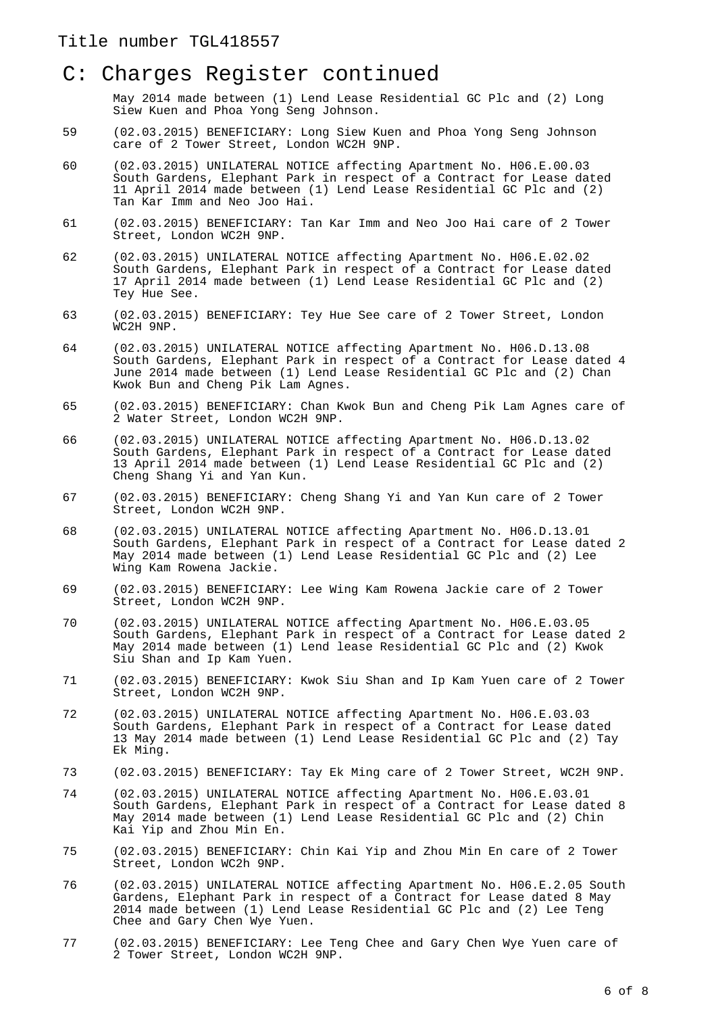May 2014 made between (1) Lend Lease Residential GC Plc and (2) Long Siew Kuen and Phoa Yong Seng Johnson.

- 59 (02.03.2015) BENEFICIARY: Long Siew Kuen and Phoa Yong Seng Johnson care of 2 Tower Street, London WC2H 9NP.
- 60 (02.03.2015) UNILATERAL NOTICE affecting Apartment No. H06.E.00.03 South Gardens, Elephant Park in respect of a Contract for Lease dated 11 April 2014 made between (1) Lend Lease Residential GC Plc and (2) Tan Kar Imm and Neo Joo Hai.
- 61 (02.03.2015) BENEFICIARY: Tan Kar Imm and Neo Joo Hai care of 2 Tower Street, London WC2H 9NP.
- 62 (02.03.2015) UNILATERAL NOTICE affecting Apartment No. H06.E.02.02 South Gardens, Elephant Park in respect of a Contract for Lease dated 17 April 2014 made between (1) Lend Lease Residential GC Plc and (2) Tey Hue See.
- 63 (02.03.2015) BENEFICIARY: Tey Hue See care of 2 Tower Street, London WC2H 9NP.
- 64 (02.03.2015) UNILATERAL NOTICE affecting Apartment No. H06.D.13.08 South Gardens, Elephant Park in respect of a Contract for Lease dated 4 June 2014 made between (1) Lend Lease Residential GC Plc and (2) Chan Kwok Bun and Cheng Pik Lam Agnes.
- 65 (02.03.2015) BENEFICIARY: Chan Kwok Bun and Cheng Pik Lam Agnes care of 2 Water Street, London WC2H 9NP.
- 66 (02.03.2015) UNILATERAL NOTICE affecting Apartment No. H06.D.13.02 South Gardens, Elephant Park in respect of a Contract for Lease dated 13 April 2014 made between (1) Lend Lease Residential GC Plc and (2) Cheng Shang Yi and Yan Kun.
- 67 (02.03.2015) BENEFICIARY: Cheng Shang Yi and Yan Kun care of 2 Tower Street, London WC2H 9NP.
- 68 (02.03.2015) UNILATERAL NOTICE affecting Apartment No. H06.D.13.01 South Gardens, Elephant Park in respect of a Contract for Lease dated 2 May 2014 made between (1) Lend Lease Residential GC Plc and (2) Lee Wing Kam Rowena Jackie.
- 69 (02.03.2015) BENEFICIARY: Lee Wing Kam Rowena Jackie care of 2 Tower Street, London WC2H 9NP.
- 70 (02.03.2015) UNILATERAL NOTICE affecting Apartment No. H06.E.03.05 South Gardens, Elephant Park in respect of a Contract for Lease dated 2 May 2014 made between (1) Lend lease Residential GC Plc and (2) Kwok Siu Shan and Ip Kam Yuen.
- 71 (02.03.2015) BENEFICIARY: Kwok Siu Shan and Ip Kam Yuen care of 2 Tower Street, London WC2H 9NP.
- 72 (02.03.2015) UNILATERAL NOTICE affecting Apartment No. H06.E.03.03 South Gardens, Elephant Park in respect of a Contract for Lease dated 13 May 2014 made between (1) Lend Lease Residential GC Plc and (2) Tay Ek Ming.
- 73 (02.03.2015) BENEFICIARY: Tay Ek Ming care of 2 Tower Street, WC2H 9NP.
- 74 (02.03.2015) UNILATERAL NOTICE affecting Apartment No. H06.E.03.01 South Gardens, Elephant Park in respect of a Contract for Lease dated 8 May 2014 made between (1) Lend Lease Residential GC Plc and (2) Chin Kai Yip and Zhou Min En.
- 75 (02.03.2015) BENEFICIARY: Chin Kai Yip and Zhou Min En care of 2 Tower Street, London WC2h 9NP.
- 76 (02.03.2015) UNILATERAL NOTICE affecting Apartment No. H06.E.2.05 South Gardens, Elephant Park in respect of a Contract for Lease dated 8 May 2014 made between (1) Lend Lease Residential GC Plc and (2) Lee Teng Chee and Gary Chen Wye Yuen.
- 77 (02.03.2015) BENEFICIARY: Lee Teng Chee and Gary Chen Wye Yuen care of 2 Tower Street, London WC2H 9NP.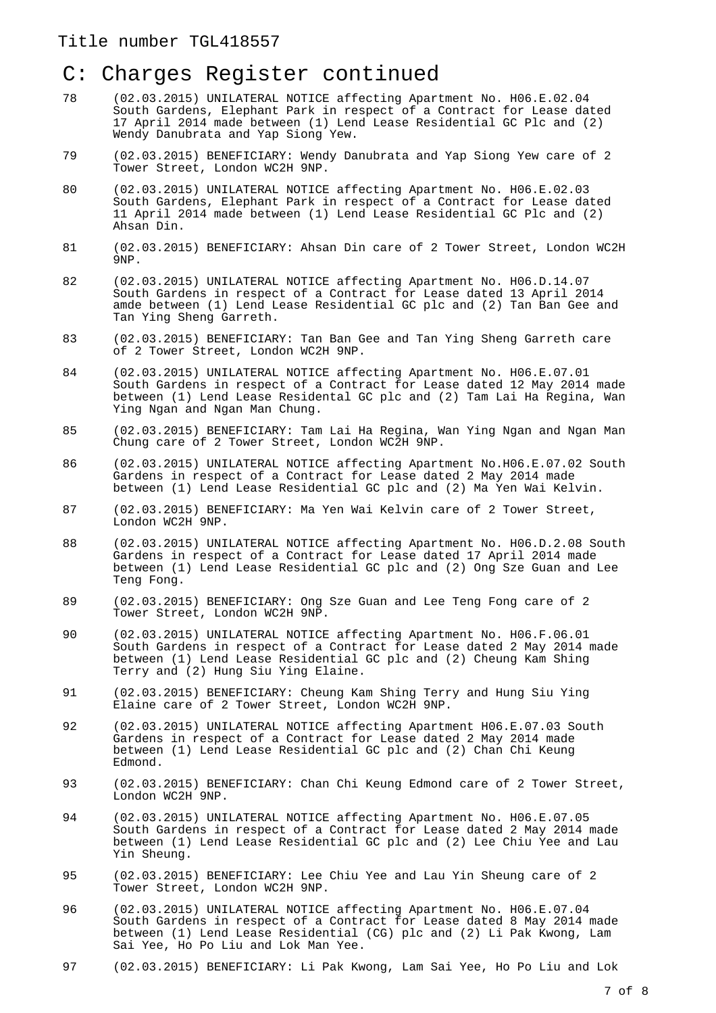- 78 (02.03.2015) UNILATERAL NOTICE affecting Apartment No. H06.E.02.04 South Gardens, Elephant Park in respect of a Contract for Lease dated 17 April 2014 made between (1) Lend Lease Residential GC Plc and (2) Wendy Danubrata and Yap Siong Yew.
- 79 (02.03.2015) BENEFICIARY: Wendy Danubrata and Yap Siong Yew care of 2 Tower Street, London WC2H 9NP.
- 80 (02.03.2015) UNILATERAL NOTICE affecting Apartment No. H06.E.02.03 South Gardens, Elephant Park in respect of a Contract for Lease dated 11 April 2014 made between (1) Lend Lease Residential GC Plc and (2) Ahsan Din.
- 81 (02.03.2015) BENEFICIARY: Ahsan Din care of 2 Tower Street, London WC2H 9NP.
- 82 (02.03.2015) UNILATERAL NOTICE affecting Apartment No. H06.D.14.07 South Gardens in respect of a Contract for Lease dated 13 April 2014 amde between (1) Lend Lease Residential GC plc and (2) Tan Ban Gee and Tan Ying Sheng Garreth.
- 83 (02.03.2015) BENEFICIARY: Tan Ban Gee and Tan Ying Sheng Garreth care of 2 Tower Street, London WC2H 9NP.
- 84 (02.03.2015) UNILATERAL NOTICE affecting Apartment No. H06.E.07.01 South Gardens in respect of a Contract for Lease dated 12 May 2014 made between (1) Lend Lease Residental GC plc and (2) Tam Lai Ha Regina, Wan Ying Ngan and Ngan Man Chung.
- 85 (02.03.2015) BENEFICIARY: Tam Lai Ha Regina, Wan Ying Ngan and Ngan Man Chung care of 2 Tower Street, London WC2H 9NP.
- 86 (02.03.2015) UNILATERAL NOTICE affecting Apartment No.H06.E.07.02 South Gardens in respect of a Contract for Lease dated 2 May 2014 made between (1) Lend Lease Residential GC plc and (2) Ma Yen Wai Kelvin.
- 87 (02.03.2015) BENEFICIARY: Ma Yen Wai Kelvin care of 2 Tower Street, London WC2H 9NP.
- 88 (02.03.2015) UNILATERAL NOTICE affecting Apartment No. H06.D.2.08 South Gardens in respect of a Contract for Lease dated 17 April 2014 made between (1) Lend Lease Residential GC plc and (2) Ong Sze Guan and Lee Teng Fong.
- 89 (02.03.2015) BENEFICIARY: Ong Sze Guan and Lee Teng Fong care of 2 Tower Street, London WC2H 9NP.
- 90 (02.03.2015) UNILATERAL NOTICE affecting Apartment No. H06.F.06.01 South Gardens in respect of a Contract for Lease dated 2 May 2014 made between (1) Lend Lease Residential GC plc and (2) Cheung Kam Shing Terry and (2) Hung Siu Ying Elaine.
- 91 (02.03.2015) BENEFICIARY: Cheung Kam Shing Terry and Hung Siu Ying Elaine care of 2 Tower Street, London WC2H 9NP.
- 92 (02.03.2015) UNILATERAL NOTICE affecting Apartment H06.E.07.03 South Gardens in respect of a Contract for Lease dated 2 May 2014 made between (1) Lend Lease Residential GC plc and (2) Chan Chi Keung Edmond.
- 93 (02.03.2015) BENEFICIARY: Chan Chi Keung Edmond care of 2 Tower Street, London WC2H 9NP.
- 94 (02.03.2015) UNILATERAL NOTICE affecting Apartment No. H06.E.07.05 South Gardens in respect of a Contract for Lease dated 2 May 2014 made between (1) Lend Lease Residential GC plc and (2) Lee Chiu Yee and Lau Yin Sheung.
- 95 (02.03.2015) BENEFICIARY: Lee Chiu Yee and Lau Yin Sheung care of 2 Tower Street, London WC2H 9NP.
- 96 (02.03.2015) UNILATERAL NOTICE affecting Apartment No. H06.E.07.04 South Gardens in respect of a Contract for Lease dated 8 May 2014 made between (1) Lend Lease Residential (CG) plc and (2) Li Pak Kwong, Lam Sai Yee, Ho Po Liu and Lok Man Yee.
- 97 (02.03.2015) BENEFICIARY: Li Pak Kwong, Lam Sai Yee, Ho Po Liu and Lok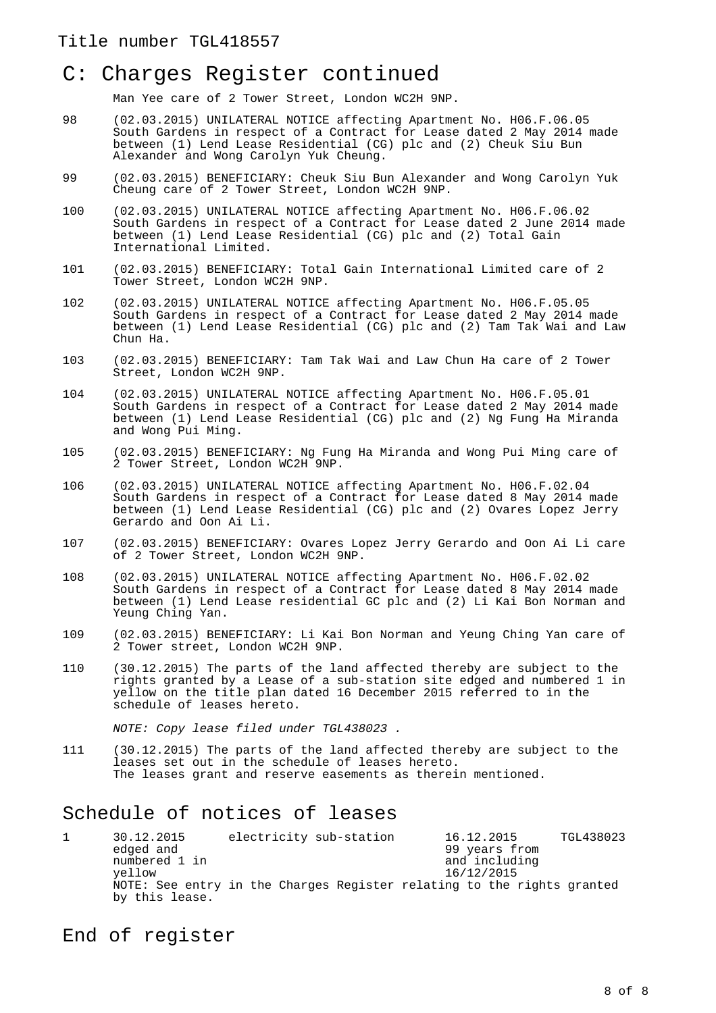Man Yee care of 2 Tower Street, London WC2H 9NP.

- 98 (02.03.2015) UNILATERAL NOTICE affecting Apartment No. H06.F.06.05 South Gardens in respect of a Contract for Lease dated 2 May 2014 made between (1) Lend Lease Residential (CG) plc and (2) Cheuk Siu Bun Alexander and Wong Carolyn Yuk Cheung.
- 99 (02.03.2015) BENEFICIARY: Cheuk Siu Bun Alexander and Wong Carolyn Yuk Cheung care of 2 Tower Street, London WC2H 9NP.
- 100 (02.03.2015) UNILATERAL NOTICE affecting Apartment No. H06.F.06.02 South Gardens in respect of a Contract for Lease dated 2 June 2014 made between (1) Lend Lease Residential (CG) plc and (2) Total Gain International Limited.
- 101 (02.03.2015) BENEFICIARY: Total Gain International Limited care of 2 Tower Street, London WC2H 9NP.
- 102 (02.03.2015) UNILATERAL NOTICE affecting Apartment No. H06.F.05.05 South Gardens in respect of a Contract for Lease dated 2 May 2014 made between (1) Lend Lease Residential (CG) plc and (2) Tam Tak Wai and Law Chun Ha.
- 103 (02.03.2015) BENEFICIARY: Tam Tak Wai and Law Chun Ha care of 2 Tower Street, London WC2H 9NP.
- 104 (02.03.2015) UNILATERAL NOTICE affecting Apartment No. H06.F.05.01 South Gardens in respect of a Contract for Lease dated 2 May 2014 made between (1) Lend Lease Residential (CG) plc and (2) Ng Fung Ha Miranda and Wong Pui Ming.
- 105 (02.03.2015) BENEFICIARY: Ng Fung Ha Miranda and Wong Pui Ming care of 2 Tower Street, London WC2H 9NP.
- 106 (02.03.2015) UNILATERAL NOTICE affecting Apartment No. H06.F.02.04 South Gardens in respect of a Contract for Lease dated 8 May 2014 made between (1) Lend Lease Residential (CG) plc and (2) Ovares Lopez Jerry Gerardo and Oon Ai Li.
- 107 (02.03.2015) BENEFICIARY: Ovares Lopez Jerry Gerardo and Oon Ai Li care of 2 Tower Street, London WC2H 9NP.
- 108 (02.03.2015) UNILATERAL NOTICE affecting Apartment No. H06.F.02.02 South Gardens in respect of a Contract for Lease dated 8 May 2014 made between (1) Lend Lease residential GC plc and (2) Li Kai Bon Norman and Yeung Ching Yan.
- 109 (02.03.2015) BENEFICIARY: Li Kai Bon Norman and Yeung Ching Yan care of 2 Tower street, London WC2H 9NP.
- 110 (30.12.2015) The parts of the land affected thereby are subject to the rights granted by a Lease of a sub-station site edged and numbered 1 in yellow on the title plan dated 16 December 2015 referred to in the schedule of leases hereto.

NOTE: Copy lease filed under TGL438023 .

111 (30.12.2015) The parts of the land affected thereby are subject to the leases set out in the schedule of leases hereto. The leases grant and reserve easements as therein mentioned.

### Schedule of notices of leases

1 30.12.2015 electricity sub-station 16.12.2015 TGL438023 edged and  $\begin{array}{ccc} 99 \text{ years from} \\ 1 \text{ in} \end{array}$ numbered 1 in and including<br>
yellow 16/12/2015 yellow 16/12/2015 NOTE: See entry in the Charges Register relating to the rights granted by this lease.

End of register